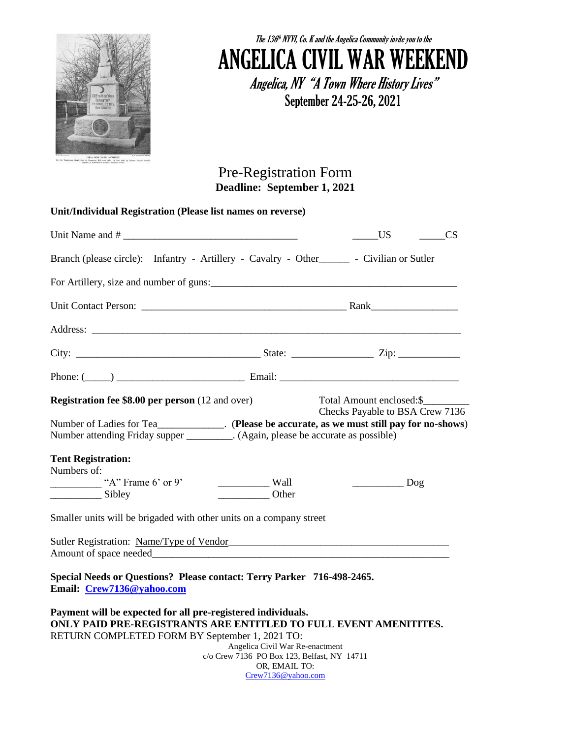

## The  $136<sup>th</sup>$  NYVI, Co. K and the Angelica Community invite you to the ANGELICA CIVIL WAR WEEKEND

Angelica, NY "A Town Where History Lives" September 24-25-26, 2021

Pre-Registration Form **Deadline: September 1, 2021**

| Unit/Individual Registration (Please list names on reverse)                                                                                                                                                                    |                                                                                |                                                              |  |  |  |
|--------------------------------------------------------------------------------------------------------------------------------------------------------------------------------------------------------------------------------|--------------------------------------------------------------------------------|--------------------------------------------------------------|--|--|--|
| Unit Name and #                                                                                                                                                                                                                |                                                                                | <b>US</b><br><b>CS</b>                                       |  |  |  |
| Branch (please circle): Infantry - Artillery - Cavalry - Other _______ - Civilian or Sutler                                                                                                                                    |                                                                                |                                                              |  |  |  |
|                                                                                                                                                                                                                                |                                                                                |                                                              |  |  |  |
|                                                                                                                                                                                                                                |                                                                                |                                                              |  |  |  |
|                                                                                                                                                                                                                                |                                                                                |                                                              |  |  |  |
|                                                                                                                                                                                                                                |                                                                                |                                                              |  |  |  |
|                                                                                                                                                                                                                                |                                                                                |                                                              |  |  |  |
| <b>Registration fee \$8.00 per person</b> (12 and over)<br>Number attending Friday supper __________. (Again, please be accurate as possible)<br><b>Tent Registration:</b><br>Numbers of:<br>"A" Frame $6'$ or $9'$<br>Sibley  | $\frac{1}{2}$ Wall<br>Other                                                    | Total Amount enclosed: \$<br>Checks Payable to BSA Crew 7136 |  |  |  |
| Smaller units will be brigaded with other units on a company street                                                                                                                                                            |                                                                                |                                                              |  |  |  |
| Sutler Registration: Name/Type of Vendor Manual Account of the Contract of the Contract of the Contract of the Contract of the Contract of the Contract of the Contract of the Contract of the Contract of the Contract of the |                                                                                |                                                              |  |  |  |
| Special Needs or Questions? Please contact: Terry Parker 716-498-2465.<br>Email: Crew7136@yahoo.com                                                                                                                            |                                                                                |                                                              |  |  |  |
| Payment will be expected for all pre-registered individuals.<br>ONLY PAID PRE-REGISTRANTS ARE ENTITLED TO FULL EVENT AMENITITES.<br>RETURN COMPLETED FORM BY September 1, 2021 TO:                                             | Angelica Civil War Re-enactment<br>c/o Crew 7136 PO Box 123, Belfast, NY 14711 |                                                              |  |  |  |

OR, EMAIL TO: [Crew7136@yahoo.com](mailto:Crew7136@yahoo.com)